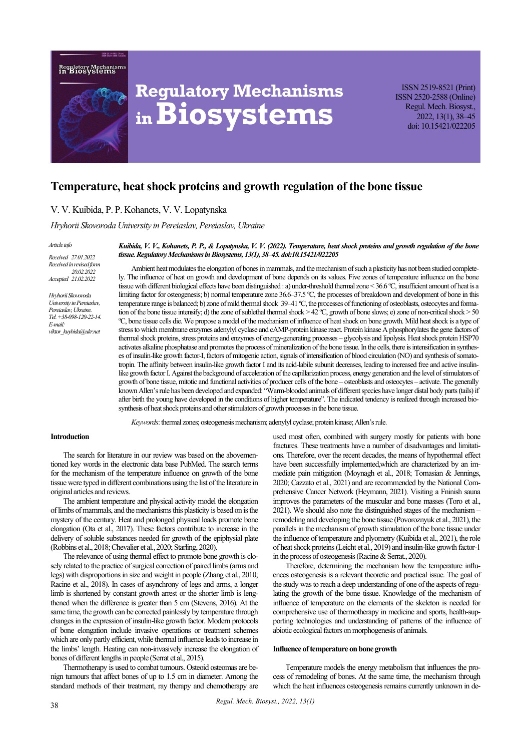



# **Regulatory Mechanisms inBiosystems**

ISSN 2519-8521 (Print) ISSN 2520-2588 (Online) Regul. Mech. Biosyst., 2022, 13(1), 38–45 doi: 10.15421/022205

# **Temperature, heat shock proteins and growth regulation of the bone tissue**

# V. V. Kuibida, P. P. Kohanets, V. V. Lopatynska

#### *Hryhorii Skovoroda University in Pereiaslav, Pereiaslav, Ukraine*

#### *Article info*

*Received 27.01.2022 Received in revised form 20.02.2022 Accepted 21.02.2022*

*Hryhorii Skovoroda University in Pereiaslav, Pereiaslav, Ukraine. Tel. +38-098-120-22-14. Е-mail: viktor\_kuybida@ukr.net*

*Kuibida, V. V., Kohanets, P. P., & Lopatynska, V. V. (2022). Temperature, heat shock proteins and growth regulation of the bone tissue. Regulatory Mechanisms in Biosystems, 13(1), 38–45. doi:10.15421/022205*

Ambient heat modulates the elongation of bones in mammals, and the mechanism of such a plasticity has not been studied completely. The influence of heat on growth and development of bone depends on its values. Five zones of temperature influence on the bone tissue with different biological effects have been distinguished : a) under-threshold thermal zone < 36.6 ºС, insufficient amount of heat is a limiting factor for osteogenesis; b) normal temperature zone 36.6–37.5 °C, the processes of breakdown and development of bone in this temperature range is balanced; b) zone of mild thermal shock 39–41 °C, the processes of functioning of osteoblasts, osteocytes and formation of the bone tissue intensify; d) the zone of sublethal thermal shock > 42 ºС, growth of bone slows; e) zone of non-critical shock > 50 ºС, bone tissue cells die. We propose a model of the mechanism of influence of heat shock on bone growth. Mild heat shock is a type of stress to which membrane enzymes adenylyl cyclase and cAMP-protein kinase react. Protein kinase A phosphorylates the gene factors of thermal shock proteins, stress proteins and enzymes of energy-generating processes – glycolysis and lipolysis. Heat shock protein HSP70 activates alkaline phosphatase and promotes the process of mineralization of the bone tissue. In the cells, there is intensification in syntheses of insulin-like growth factor-I, factors of mitogenic action, signals of intensification of blood circulation (NO) and synthesis of somatotropin. The affinity between insulin-like growth factor I and its acid-labile subunit decreases, leading to increased free and active insulinlike growth factor I. Against the background of acceleration of the capillarization process, energy generation and the level of stimulators of growth of bone tissue, mitotic and functional activities of producer cells of the bone – osteoblasts and osteocytes – activate. The generally known Allen's rule has been developed and expanded: "Warm-blooded animals of different species have longer distal body parts (tails) if after birth the young have developed in the conditions of higher temperature". The indicated tendency is realized through increased biosynthesis of heat shock proteins and other stimulators of growth processes in the bone tissue.

*Keywords*: thermal zones; osteogenesis mechanism; adenylyl cyclase; protein kinase; Allen's rule.

#### **Introduction**

The search for literature in our review was based on the abovementioned key words in the electronic data base PubMed. The search terms for the mechanism of the temperature influence on growth of the bone tissue were typed in different combinations using the list of the literature in original articles and reviews.

The ambient temperature and physical activity model the elongation of limbs of mammals, and the mechanisms this plasticity is based on is the mystery of the century. Heat and prolonged physical loads promote bone elongation (Ota et al., 2017). These factors contribute to increase in the delivery of soluble substances needed for growth of the epiphysial plate (Robbins et al., 2018; Chevalier et al., 2020; Starling, 2020).

The relevance of using thermal effect to promote bone growth is closely related to the practice of surgical correction of paired limbs (arms and legs) with disproportions in size and weight in people (Zhang et al., 2010; Racine et al., 2018). In cases of asynchrony of legs and arms, a longer limb is shortened by constant growth arrest or the shorter limb is lengthened when the difference is greater than 5 cm (Stevens, 2016). At the same time, the growth can be corrected painlessly by temperature through changes in the expression of insulin-like growth factor. Modern protocols of bone elongation include invasive operations or treatment schemes which are only partly efficient, while thermal influence leads to increase in the limbs' length. Heating can non-invasively increase the elongation of bones of different lengths in people (Serrat et al., 2015).

Thermotherapy is used to combat tumours. Osteoid osteomas are benign tumours that affect bones of up to 1.5 cm in diameter. Among the standard methods of their treatment, ray therapy and chemotherapy are used most often, combined with surgery mostly for patients with bone fractures. These treatments have a number of disadvantages and limitations. Therefore, over the recent decades, the means of hypothermal effect have been successfully implemented,which are characterized by an immediate pain mitigation (Moynagh et al., 2018; Tomasian & Jennings, 2020; Cazzato et al., 2021) and are recommended by the National Comprehensive Cancer Network (Heymann, 2021). Visiting a Fninish sauna improves the parameters of the muscular and bone masses (Toro et al., 2021). We should also note the distinguished stages of the mechanism – remodeling and developing the bone tissue (Povoroznyuk et al., 2021), the parallels in the mechanism of growth stimulation of the bone tissue under the influence of temperature and plyometry (Kuibida et al., 2021), the role of heat shock proteins (Leicht et al., 2019) and insulin-like growth factor-1 in the process of osteogenesis (Racine & Serrat., 2020).

Therefore, determining the mechanism how the temperature influences osteogenesis is a relevant theoretic and practical issue. The goal of the study was to reach a deep understanding of one of the aspects of regulating the growth of the bone tissue. Knowledge of the mechanism of influence of temperature on the elements of the skeleton is needed for comprehensive use of thermotherapy in medicine and sports, health-supporting technologies and understanding of patterns of the influence of abiotic ecological factors on morphogenesis of animals.

#### **Influence of temperature on bone growth**

Temperature models the energy metabolism that influences the process of remodeling of bones. At the same time, the mechanism through which the heat influences osteogenesis remains currently unknown in de-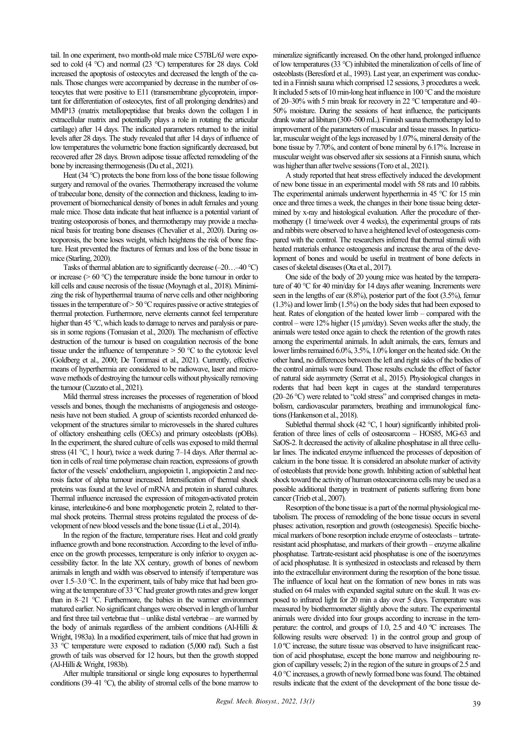tail. In one experiment, two month-old male mice C57BL/6J were exposed to cold (4 °C) and normal (23 °C) temperatures for 28 days. Cold increased the apoptosis of osteocytes and decreased the length of the canals. Those changes were accompanied by decrease in the number of osteocytes that were positive to Е11 (transmembrane glycoprotein, important for differentiation of osteocytes, first of all prolonging dendrites) and ММР13 (matrix metallopeptidase that breaks down the collagen I in extracellular matrix and potentially plays a role in rotating the articular cartilage) after 14 days. The indicated parameters returned to the initial levels after 28 days. The study revealed that after 14 days of influence of low temperatures the volumetric bone fraction significantly decreased, but recovered after 28 days. Brown adipose tissue affected remodeling of the bone by increasing thermogenesis (Du et al., 2021).

Heat (34 °C) protects the bone from loss of the bone tissue following surgery and removal of the ovaries. Thermotherapy increased the volume of trabecular bone, density of the connection and thickness, leading to improvement of biomechanical density of bones in adult females and young male mice. Those data indicate that heat influence is a potential variant of treating osteoporosis of bones, and thermotherapy may provide a mechanical basis for treating bone diseases (Chevalier et al., 2020). During osteoporosis, the bone loses weight, which heightens the risk of bone fracture. Heat prevented the fractures of femurs and loss of the bone tissue in mice (Starling, 2020).

Tasks of thermal ablation are to significantly decrease  $(-20$ ... $-40$  °C) or increase ( $> 60^\circ \text{C}$ ) the temperature inside the bone tumour in order to kill cells and cause necrosis of the tissue (Moynagh et al., 2018). Minimizing the risk of hyperthermal trauma of nerve cells and other neighboring tissues in the temperature of > 50 °C requires passive or active strategies of thermal protection. Furthermore, nerve elements cannot feel temperature higher than 45 °C, which leads to damage to nerves and paralysis or paresis in some regions (Tomasian et al., 2020). The mechanism of effective destruction of the tumour is based on coagulation necrosis of the bone tissue under the influence of temperature  $> 50$  °C to the cytotoxic level (Goldberg et al., 2000; De Tommasi et al., 2021). Currently, effective means of hyperthermia are considered to be radiowave, laser and microwave methods of destroying the tumour cells without physically removing the tumour (Cazzato et al., 2021).

Mild thermal stress increases the processes of regeneration of blood vessels and bones, though the mechanisms of angiogenesis and osteogenesis have not been studied. A group of scientists recorded enhanced development of the structures similar to microvessels in the shared cultures of olfactory ensheathing cells (OECs) and primary osteoblasts (pOBs). In the experiment, the shared culture of cells was exposed to mild thermal stress (41  $^{\circ}$ C, 1 hour), twice a week during 7–14 days. After thermal action in cells of real time polymerase chain reaction, expressions of growth factor of the vessels' endothelium, angiopoietin 1, angiopoietin 2 and necrosis factor of alpha tumour increased. Intensification of thermal shock proteins was found at the level of mRNA and protein in shared cultures. Thermal influence increased the expression of mitogen-activated protein kinase, interleukine-6 and bone morphogenetic protein 2, related to thermal shock proteins. Thermal stress proteins regulated the process of development of new blood vessels and the bone tissue (Li et al., 2014).

In the region of the fracture, temperature rises. Heat and cold greatly influence growth and bone reconstruction. According to the level of influence on the growth processes, temperature is only inferior to oxygen accessibility factor. In the late XX century, growth of bones of newborn animals in length and width was observed to intensify if temperature was over 1.5–3.0 °C. In the experiment, tails of baby mice that had been growing at the temperature of 33 °C had greater growth rates and grew longer than in 8–21 °C. Furthermore, the babies in the warmer environment matured earlier. No significant changes were observed in length of lumbar and first three tail vertebrae that – unlike distal vertebrae – are warmed by the body of animals regardless of the ambient conditions (Al-Hilli & Wright, 1983a). In a modified experiment, tails of mice that had grown in 33 °C temperature were exposed to radiation (5,000 rad). Such a fast growth of tails was observed for 12 hours, but then the growth stopped (Al-Hilli & Wright, 1983b).

After multiple transitional or single long exposures to hyperthermal conditions (39–41 °C), the ability of stromal cells of the bone marrow to mineralize significantly increased. On the other hand, prolonged influence of low temperatures (33 °C) inhibited the mineralization of cells of line of osteoblasts (Beresford et al., 1993). Last year, an experiment was conducted in a Finnish sauna which comprised 12 sessions, 3 procedures a week. It included 5 sets of 10 min-long heat influence in 100 °C and the moisture of 20‒30% with 5 min break for recovery in 22 °C temperature and 40– 50% moisture. During the sessions of heat influence, the participants drank water ad libitum (300–500 mL). Finnish sauna thermotherapy led to improvement of the parameters of muscular and tissue masses. In particular, muscular weight of the legs increased by 1.07%, mineral density of the bone tissue by 7.70%, and content of bone mineral by 6.17%. Increase in muscular weight was observed after six sessions at a Finnish sauna, which was higher than after twelve sessions (Toro et al., 2021).

A study reported that heat stress effectively induced the development of new bone tissue in an experimental model with 58 rats and 10 rabbits. The experimental animals underwent hyperthermia in 45 °C for 15 min once and three times a week, the changes in their bone tissue being determined by x-ray and histological evaluation. After the procedure of thermotherapy (1 time/week over 4 weeks), the experimental groups of rats and rabbits were observed to have a heightened level of osteogenesis compared with the control. The researchers inferred that thermal stimuli with heated materials enhance osteogenesis and increase the area of the development of bones and would be useful in treatment of bone defects in cases of skeletal diseases (Ota et al., 2017).

One side of the body of 20 young mice was heated by the temperature of 40 °C for 40 min/day for 14 days after weaning. Increments were seen in the lengths of ear (8.8%), posterior part of the foot (3.5%), femur (1.3%) and lower limb (1.5%) on the body sides that had been exposed to heat. Rates of elongation of the heated lower limb – compared with the control – were 12% higher (15 µm/day). Seven weeks after the study, the animals were tested once again to check the retention of the growth rates among the experimental animals. In adult animals, the ears, femurs and lower limbs remained 6.0%, 3.5%, 1.0% longer on the heated side. On the other hand, no differences between the left and right sides of the bodies of the control animals were found. Those results exclude the effect of factor of natural side asymmetry (Serrat et al., 2015). Physiological changes in rodents that had been kept in cages at the standard temperatures (20‒26 °C) were related to "cold stress" and comprised changes in metabolism, cardiovascular parameters, breathing and immunological functions (Hankenson et al., 2018).

Sublethal thermal shock (42  $\degree$ C, 1 hour) significantly inhibited proliferation of three lines of cells of osteosarcoma – HOS85, MG-63 and SaOS-2. It decreased the activity of alkaline phosphatase in all three cellular lines. The indicated enzyme influenced the processes of deposition of calcium in the bone tissue. It is considered an absolute marker of activity of osteoblasts that provide bone growth. Inhibiting action of sublethal heat shock toward the activity of human osteocarcinoma cells may be used as a possible additional therapy in treatment of patients suffering from bone cancer (Trieb et al., 2007).

Resorption of the bone tissue is a part of the normal physiological metabolism. The process of remodeling of the bone tissue occurs in several phases: activation, resorption and growth (osteogenesis). Specific biochemical markers of bone resorption include enzyme of osteoclasts – tartrateresistant acid phosphatase, and markers of their growth – enzyme alkaline phosphatase. Tartrate-resistant acid phosphatase is one of the isoenzymes of acid phosphatase. It is synthesized in osteoclasts and released by them into the extracellular environment during the resorption of the bone tissue. The influence of local heat on the formation of new bones in rats was studied on 64 males with expanded sagital suture on the skull. It was exposed to infrared light for 20 min a day over 5 days. Temperature was measured by biothermometer slightly above the suture. The experimental animals were divided into four groups according to increase in the temperature: the control, and groups of 1.0, 2.5 and 4.0 ºС increases. The following results were observed: 1) in the control group and group of 1.0 ºС increase, the suture tissue was observed to have insignificant reaction of acid phosphatase, except the bone marrow and neighbouring region of capillary vessels; 2) in the region of the suture in groups of 2.5 and 4.0 °С increases, a growth of newly formed bone was found. The obtained results indicate that the extent of the development of the bone tissue de-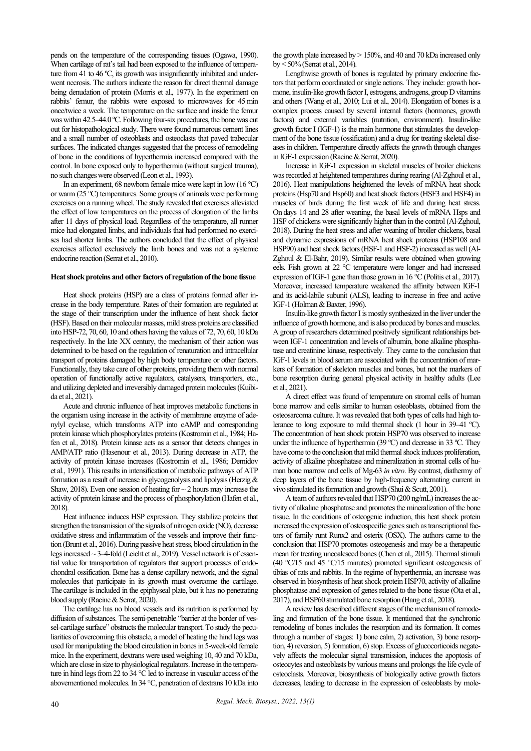pends on the temperature of the corresponding tissues (Ogawa, 1990). When cartilage of rat's tail had been exposed to the influence of temperature from 41 to 46 °C, its growth was insignificantly inhibited and underwent necrosis. The authors indicate the reason for direct thermal damage being denudation of protein (Morris et al., 1977). In the experiment on rabbits' femur, the rabbits were exposed to microwaves for 45min once/twice a week. The temperature on the surface and inside the femur was within 42.5–44.0 °C. Following four-six procedures, the bone was cut out for histopathological study. There were found numerous cement lines and a small number of osteoblasts and osteoclasts that paved trabecular surfaces. The indicated changes suggested that the process of remodeling of bone in the conditions of hyperthermia increased compared with the control. In bone exposed only to hyperthermia (without surgical trauma), no such changes were observed (Leon et al., 1993).

In an experiment, 68 newborn female mice were kept in low (16 °C) or warm (25 °C) temperatures. Some groups of animals were performing exercises on a running wheel. The study revealed that exercises alleviated the effect of low temperatures on the process of elongation of the limbs after 11 days of physical load. Regardless of the temperature, all runner mice had elongated limbs, and individuals that had performed no exercises had shorter limbs. The authors concluded that the effect of physical exercises affected exclusively the limb bones and was not a systemic endocrine reaction (Serrat et al., 2010).

#### **Heat shock proteins and other factors of regulation of the bone tissue**

Heat shock proteins (HSP) are a class of proteins formed after increase in the body temperature. Rates of their formation are regulated at the stage of their transcription under the influence of heat shock factor (HSF). Based on their molecular masses, mild stress proteins are classified into HSP-72, 70, 60, 10 and others having the values of 72, 70, 60, 10 kDa respectively. In the late XX century, the mechanism of their action was determined to be based on the regulation of renaturation and intracellular transport of proteins damaged by high body temperature or other factors. Functionally, they take care of other proteins, providing them with normal operation of functionally active regulators, catalysers, transporters, etc., and utilizing depleted and irreversibly damaged protein molecules (Kuibida et al., 2021).

Acute and chronic influence of heat improves metabolic functions in the organism using increase in the activity of membrane enzyme of adenylyl cyclase, which transforms ATP into cAMP and corresponding protein kinase which phosphorylates proteins (Kostromin et al., 1984; Hafen et al., 2018). Protein kinase acts as a sensor that detects changes in AMP/ATP ratio (Hasenour et al., 2013). During decrease in ATP, the activity of protein kinase increases (Kostromin et al., 1986; Demidov et al., 1991). This results in intensification of metabolic pathways of ATP formation as a result of increase in glycogenolysis and lipolysis (Herzig & Shaw, 2018). Even one session of heating for  $\sim$  2 hours may increase the activity of protein kinase and the process of phosphorylation (Hafen et al., 2018).

Heat influence induces HSP expression. They stabilize proteins that strengthen the transmission of the signals of nitrogen oxide (NO), decrease oxidative stress and inflammation of the vessels and improve their function (Brunt et al., 2016). During passive heat stress, blood circulation in the legs increased  $\sim$  3–4-fold (Leicht et al., 2019). Vessel network is of essential value for transportation of regulators that support processes of endochondral ossification. Bone has a dense capillary network, and the signal molecules that participate in its growth must overcome the cartilage. The cartilage is included in the epiphyseal plate, but it has no penetrating blood supply (Racine & Serrat, 2020).

The cartilage has no blood vessels and its nutrition is performed by diffusion of substances. The semi-penetrable "barrier at the border of vessel-cartilage surface" obstructs the molecular transport. To study the peculiarities of overcoming this obstacle, a model of heating the hind legs was used for manipulating the blood circulation in bones in 5-week-old female mice. In the experiment, dextrans were used weighing 10, 40 and 70 kDa, which are close in size to physiological regulators. Increase in the temperature in hind legs from 22 to 34 °C led to increase in vascular access of the abovementioned molecules. In 34 °C, penetration of dextrans 10 kDa into the growth plate increased by  $> 150\%$ , and 40 and 70 kDa increased only by < 50% (Serrat et al., 2014).

Lengthwise growth of bones is regulated by primary endocrine factors that perform coordinated or single actions. They include: growth hormone, insulin-like growth factor I, estrogens, androgens, group D vitamins and others (Wang et al., 2010; Lui et al., 2014). Elongation of bones is a complex process caused by several internal factors (hormones, growth factors) and external variables (nutrition, environment). Insulin-like growth factor I (IGF-1) is the main hormone that stimulates the development of the bone tissue (ossification) and a drug for treating skeletal diseases in children. Temperature directly affects the growth through changes in IGF-1 expression (Racine & Serrat, 2020).

Increase in IGF-1 expression in skeletal muscles of broiler chickens was recorded at heightened temperatures during rearing (Al-Zghoul et al., 2016). Heat manipulations heightened the levels of mRNA heat shock proteins (Hsp70 and Hsp60) and heat shock factors (HSF3 and HSF4) in muscles of birds during the first week of life and during heat stress. On days 14 and 28 after weaning, the basal levels of mRNA Hsps and HSF of chickens were significantly higher than in the control (Al-Zghoul, 2018). During the heat stress and after weaning of broiler chickens, basal and dynamic expressions of mRNA heat shock proteins (HSP108 and HSP90) and heat shock factors (HSF-1 and HSF-2) increased as well (Al-Zghoul & El-Bahr, 2019). Similar results were obtained when growing eels. Fish grown at 22 °C temperature were longer and had increased expression of IGF-1 gene than those grown in 16 °С (Politis et al., 2017). Moreover, increased temperature weakened the affinity between IGF-1 and its acid-labile subunit (ALS), leading to increase in free and active IGF-1 (Holman & Baxter, 1996).

Insulin-like growth factor I is mostly synthesized in the liver under the influence of growth hormone, and is also produced by bones and muscles. A group of researchers determined positively significant relationships between IGF-1 concentration and levels of albumin, bone alkaline phosphatase and creatinine kinase, respectively. They came to the conclusion that IGF-1 levels in blood serum are associated with the concentration of markers of formation of skeleton muscles and bones, but not the markers of bone resorption during general physical activity in healthy adults (Lee et al., 2021).

A direct effect was found of temperature on stromal cells of human bone marrow and cells similar to human osteoblasts, obtained from the osteosarcoma culture. It was revealed that both types of cells had high tolerance to long exposure to mild thermal shock (1 hour in 39–41 °C). The concentration of heat shock protein HSP70 was observed to increase under the influence of hyperthermia (39 °C) and decrease in 33 °C. They have come to the conclusion that mild thermal shock induces proliferation, activity of alkaline phosphatase and mineralization in stromal cells of human bone marrow and cells of Mg-63 *in vitro*. By contrast, diathermy of deep layers of the bone tissue by high-frequency alternating current in vivo stimulated its formation and growth (Shui & Scutt, 2001).

A team of authors revealed that HSP70 (200 ng/mL) increases the activity of alkaline phosphatase and promotes the mineralization of the bone tissue. In the conditions of osteogenic induction, this heat shock protein increased the expression of osteospecific genes such as transcriptional factors of family runt Runx2 and osterix (OSX). The authors came to the conclusion that HSP70 promotes osteogenesis and may be a therapeutic mean for treating uncoalesced bones (Chen et al., 2015). Thermal stimuli (40 °С/15 and 45 °C/15 minutes) promoted significant osteogenesis of tibias of rats and rabbits. In the regime of hyperthermia, an increase was observed in biosynthesis of heat shock protein HSP70, activity of alkaline phosphatase and expression of genes related to the bone tissue (Ota et al., 2017), and HSP60 stimulated bone resorption (Hang et al., 2018).

A review has described different stages of the mechanism of remodeling and formation of the bone tissue. It mentioned that the synchronic remodeling of bones includes the resorption and its formation. It comes through a number of stages: 1) bone calm, 2) activation, 3) bone resorption, 4) reversion, 5) formation, 6) stop. Excess of glucocorticoids negatevely affects the molecular signal transmission, induces the apoptosis of osteocytes and osteoblasts by various means and prolongs the life cycle of osteoclasts. Moreover, biosynthesis of biologically active growth factors decreases, leading to decrease in the expression of osteoblasts by mole-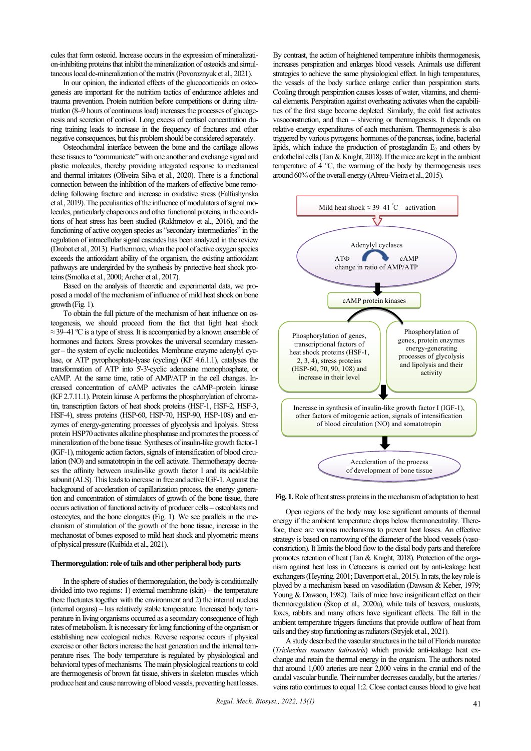cules that form osteoid. Increase occurs in the expression of mineralization-inhibiting proteins that inhibit the mineralization of osteoids and simultaneous local de-mineralization of the matrix (Povoroznyuk et al., 2021).

In our opinion, the indicated effects of the glucocorticoids on osteogenesis are important for the nutrition tactics of endurance athletes and trauma prevention. Protein nutrition before competitions or during ultratriatlon (8–9 hours of continuous load) increases the processes of glucogenesis and secretion of cortisol. Long excess of cortisol concentration during training leads to increase in the frequency of fractures and other negative consequences, but this problem should be considered separately.

Osteochondral interface between the bone and the cartilage allows these tissues to "communicate" with one another and exchange signal and plastic molecules, thereby providing integrated response to mechanical and thermal irritators (Oliveira Silva et al., 2020). There is a functional connection between the inhibition of the markers of effective bone remodeling following fracture and increase in oxidative stress (Falfushynska et al., 2019). The peculiarities of the influence of modulators of signal molecules, particularly chaperones and other functional proteins, in the conditions of heat stress has been studied (Rakhmetov et al., 2016), and the functioning of active oxygen species as "secondary intermediaries" in the regulation of intracellular signal cascades has been analyzed in the review (Drobot et al., 2013). Furthermore, when the pool of active oxygen species exceeds the antioxidant ability of the organism, the existing antioxidant pathways are undergirded by the synthesis by protective heat shock proteins (Smolka et al., 2000; Archer et al., 2017).

Based on the analysis of theoretic and experimental data, we proposed a model of the mechanism of influence of mild heat shock on bone growth (Fig. 1).

To obtain the full picture of the mechanism of heat influence on osteogenesis, we should proceed from the fact that light heat shock  $\approx$  39–41 °C is a type of stress. It is accompanied by a known ensemble of hormones and factors. Stress provokes the universal secondary messenger – the system of cyclic nucleotides. Membrane enzyme adenylyl cyclase, or ATP pyrophosphate-lyase (cycling) (KF 4.6.1.1), catalyses the transformation of ATP into 5'-3'-cyclic adenosine monophosphate, or cAMP. At the same time, ratio of AMP/ATP in the cell changes. Increased concentration of cAMP activates the cAMP–protein kinase (KF 2.7.11.1). Protein kinase А performs the phosphorylation of chromatin, transcription factors of heat shock proteins (HSF-1, HSF-2, HSF-3, HSF-4), stress proteins (HSP-60, HSP-70, HSP-90, HSP-108) and enzymes of energy-generating processes of glycolysis and lipolysis. Stress protein HSP70 activates alkaline phosphatase and promotes the process of mineralization of the bone tissue. Syntheses of insulin-like growth factor-1 (IGF-1), mitogenic action factors, signals of intensification of blood circulation (NO) and somatotropin in the cell activate. Thermotherapy decreases the affinity between insulin-like growth factor I and its acid-labile subunit (ALS). This leads to increase in free and active IGF-1. Against the background of acceleration of capillarization process, the energy generation and concentration of stimulators of growth of the bone tissue, there occurs activation of functional activity of producer cells – osteoblasts and osteocytes, and the bone elongates (Fig. 1). We see parallels in the mechanism of stimulation of the growth of the bone tissue, increase in the mechanostat of bones exposed to mild heat shock and plyometric means of physical pressure (Kuibida et al., 2021).

## **Thermoregulation: role of tails and other peripheral body parts**

In the sphere of studies of thermoregulation, the body is conditionally divided into two regions: 1) external membrane (skin) – the temperature there fluctuates together with the environment and 2) the internal nucleus (internal organs) – has relatively stable temperature. Increased body temperature in living organisms occurred as a secondary consequence of high rates of metabolism. It is necessary for long functioning of the organism or establishing new ecological niches. Reverse response occurs if physical exercise or other factors increase the heat generation and the internal temperature rises. The body temperature is regulated by physiological and behavioral types of mechanisms. The main physiological reactions to cold are thermogenesis of brown fat tissue, shivers in skeleton muscles which produce heat and cause narrowing of blood vessels, preventing heat losses.

By contrast, the action of heightened temperature inhibits thermogenesis, increases perspiration and enlarges blood vessels. Animals use different strategies to achieve the same physiological effect. In high temperatures, the vessels of the body surface enlarge earlier than perspiration starts. Cooling through perspiration causes losses of water, vitamins, and chemical elements. Perspiration against overheating activates when the capabilities of the first stage become depleted. Similarly, the cold first activates vasoconstriction, and then – shivering or thermogenesis. It depends on relative energy expenditures of each mechanism. Thermogenesis is also triggered by various pyrogens: hormones of the pancreas, iodine, bacterial lipids, which induce the production of prostaglandin  $E_2$  and others by endothelial cells (Tan & Knight, 2018). If the mice are kept in the ambient temperature of  $4^{\circ}$ C, the warming of the body by thermogenesis uses around 60% of the overall energy (Abreu-Vieira et al., 2015).



#### **Fig. 1.**Role of heat stress proteins in the mechanism of adaptation to heat

Open regions of the body may lose significant amounts of thermal energy if the ambient temperature drops below thermoneutrality. Therefore, there are various mechanisms to prevent heat losses. An effective strategy is based on narrowing of the diameter of the blood vessels (vasoconstriction). It limits the blood flow to the distal body parts and therefore promotes retention of heat (Tan & Knight, 2018). Protection of the organism against heat loss in Cetaceans is carried out by anti-leakage heat exchangers (Heyning, 2001; Davenport et al., 2015). In rats, the key role is played by a mechanism based on vasodilation (Dawson & Keber, 1979; Young & Dawson, 1982). Tails of mice have insignificant effect on their thermoregulation (Škop et al., 2020a), while tails of beavers, muskrats, foxes, rabbits and many others have significant effects. The fall in the ambient temperature triggers functions that provide outflow of heat from tails and they stop functioning as radiators (Stryjek et al., 2021).

A study described the vascular structures in the tail of Florida manatee (*Trichechus manatus latirostris*) which provide anti-leakage heat exchange and retain the thermal energy in the organism. The authors noted that around 1,000 arteries are near 2,000 veins in the cranial end of the caudal vascular bundle. Their number decreases caudally, but the arteries/ veins ratio continues to equal 1:2. Close contact causes blood to give heat

*Regul. Mech. Biosyst., 2022, 13(1)*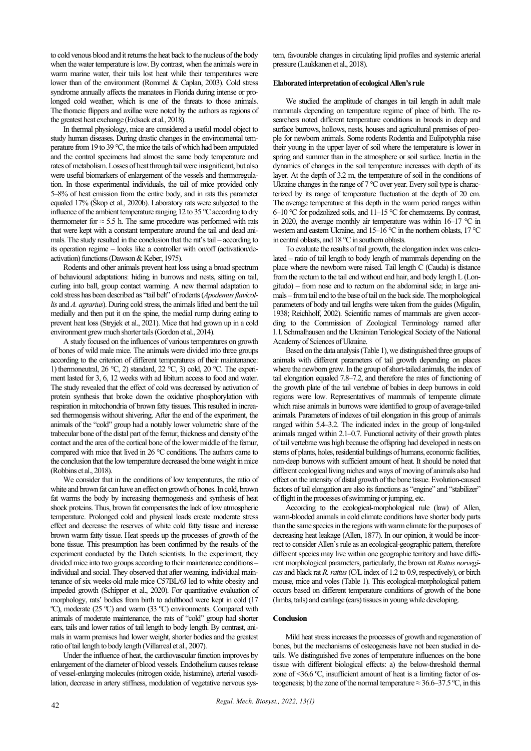to cold venous blood and it returns the heat back to the nucleus of the body when the water temperature is low. By contrast, when the animals were in warm marine water, their tails lost heat while their temperatures were lower than of the environment (Rommel & Caplan, 2003). Cold stress syndrome annually affects the manatees in Florida during intense or prolonged cold weather, which is one of the threats to those animals. The thoracic flippers and axillae were noted by the authors as regions of the greatest heat exchange (Erdsack et al., 2018).

In thermal physiology, mice are considered a useful model object to study human diseases. During drastic changes in the environmental temperature from 19 to 39 °C, the mice the tails of which had been amputated and the control specimens had almost the same body temperature and rates of metabolism. Losses of heat through tail were insignificant, but also were useful biomarkers of enlargement of the vessels and thermoregulation. In those experimental individuals, the tail of mice provided only 5‒8% of heat emission from the entire body, and in rats this parameter equaled 17% (Škop et al., 2020b). Laboratory rats were subjected to the influence of the ambient temperature ranging 12 to 35 °C according to dry thermometer for  $\approx$  5.5 h. The same procedure was performed with rats that were kept with a constant temperature around the tail and dead animals. The study resulted in the conclusion that the rat's tail – according to its operation regime – looks like a controller with on/off (activation/deactivation) functions (Dawson & Keber, 1975).

Rodents and other animals prevent heat loss using a broad spectrum of behavioural adaptations: hiding in burrows and nests, sitting on tail, curling into ball, group contact warming. A new thermal adaptation to cold stress has been described as "tail belt" of rodents (*Apodemus flavicollis* and *A. agrarius*). During cold stress, the animals lifted and bent the tail medially and then put it on the spine, the medial rump during eating to prevent heat loss (Stryjek et al., 2021). Mice that had grown up in a cold environment grew much shorter tails (Gordon et al., 2014).

A study focused on the influences of various temperatures on growth of bones of wild male mice. The animals were divided into three groups according to the criterion of different temperatures of their maintenance: 1) thermoneutral, 26 °C, 2) standard, 22 °C, 3) cold, 20 °C. The experiment lasted for 3, 6, 12 weeks with ad libitum access to food and water. The study revealed that the effect of cold was decreased by activation of protein synthesis that broke down the oxidative phosphorylation with respiration in mitochondria of brown fatty tissues. This resulted in increased thermogensis without shivering. After the end of the experiment, the animals of the "cold" group had a notably lower volumetric share of the trabecular bone of the distal part of the femur, thickness and density of the contact and the area of the cortical bone of the lower middle of the femur, compared with mice that lived in 26 °C conditions. The authors came to the conclusion that the low temperature decreased the bone weight in mice (Robbins et al., 2018).

We consider that in the conditions of low temperatures, the ratio of white and brown fat can have an effect on growth of bones. In cold, brown fat warms the body by increasing thermogenesis and synthesis of heat shock proteins. Thus, brown fat compensates the lack of low atmospheric temperature. Prolonged cold and physical loads create moderate stress effect and decrease the reserves of white cold fatty tissue and increase brown warm fatty tissue. Heat speeds up the processes of growth of the bone tissue. This presumption has been confirmed by the results of the experiment conducted by the Dutch scientists. In the experiment, they divided mice into two groups according to their maintenance conditions – individual and social. They observed that after weaning, individual maintenance of six weeks-old male mice C57BL/6J led to white obesity and impeded growth (Schipper et al., 2020). For quantitative evaluation of morphology, rats' bodies from birth to adulthood were kept in cold (17 ºС), moderate (25 ºС) and warm (33 ºС) environments. Compared with animals of moderate maintenance, the rats of "cold" group had shorter ears, tails and lower ratios of tail length to body length. By contrast, animals in warm premises had lower weight, shorter bodies and the greatest ratio of tail length to body length (Villarreal et al., 2007).

Under the influence of heat, the cardiovascular function improves by enlargement of the diameter of blood vessels. Endothelium causes release of vessel-enlarging molecules (nitrogen oxide, histamine), arterial vasodilation, decrease in artery stiffness, modulation of vegetative nervous system, favourable changes in circulating lipid profiles and systemic arterial pressure (Laukkanen et al., 2018).

# **Elaborated interpretation of ecological Allen's rule**

We studied the amplitude of changes in tail length in adult male mammals depending on temperature regime of place of birth. The researchers noted different temperature conditions in broods in deep and surface burrows, hollows, nests, houses and agricultural premises of people for newborn animals. Some rodents Rodentia and Eulipotyphla raise their young in the upper layer of soil where the temperature is lower in spring and summer than in the atmosphere or soil surface. Inertia in the dynamics of changes in the soil temperature increases with depth of its layer. At the depth of 3.2 m, the temperature of soil in the conditions of Ukraine changes in the range of 7 °C over year. Every soil type is characterized by its range of temperature fluctuation at the depth of 20 cm. The average temperature at this depth in the warm period ranges within 6–10 °C for podzolized soils, and  $11-15$  °C for chernozems. By contrast, in 2020, the average monthly air temperature was within 16-17 °C in western and eastern Ukraine, and 15–16 °C in the northern oblasts, 17 °C in central oblasts, and 18 °С in southern oblasts.

To evaluate the results of tail growth, the elongation index was calculated – ratio of tail length to body length of mammals depending on the place where the newborn were raised. Tail length C (Cauda) is distance from the rectum to the tail end without end hair, and body length L (Longitudo) ‒ from nose end to rectum on the abdominal side; in large animals – from tail end to the base of tail on the back side. The morphological parameters of body and tail lengths were taken from the guides (Migulin, 1938; Reichholf, 2002). Scientific names of mammals are given according to the Commission of Zoological Terminology named after I.I. Schmalhausen and the Ukrainian Teriological Society of the National Academy of Sciences of Ukraine.

Based on the data analysis (Table 1), we distinguished three groups of animals with different parameters of tail growth depending on places where the newborn grew. In the group of short-tailed animals, the index of tail elongation equaled 7.8‒7.2, and therefore the rates of functioning of the growth plate of the tail vertebrae of babies in deep burrows in cold regions were low. Representatives of mammals of temperate climate which raise animals in burrows were identified to group of average-tailed animals. Parameters of indexes of tail elongation in this group of animals ranged within 5.4–3.2. The indicated index in the group of long-tailed animals ranged within 2.1–0.7. Functional activity of their growth plates of tail vertebrae was high because the offspring had developed in nests on stems of plants, holes, residential buildings of humans, economic facilities, non-deep burrows with sufficient amount of heat. It should be noted that different ecological living niches and ways of moving of animals also had effect on the intensity of distal growth of the bone tissue. Evolution-caused factors of tail elongation are also its functions as "engine" and "stabilizer" of flight in the processes of swimming or jumping, etc.

According to the ecological-morphological rule (law) of Allen, warm-blooded animals in cold climate conditions have shorter body parts than the same species in the regions with warm climate for the purposes of decreasing heat leakage (Allen, 1877). In our opinion, it would be incorrect to consider Allen's rule as an ecological-geographic pattern, therefore different species may live within one geographic territory and have different morphological parameters, particularly, the brown rat *Rattus norvegicus* and black rat *R.rattus*(C/L index of 1.2 to 0.9, respectively), or birch mouse, mice and voles (Table 1). This ecological-morphological pattern occurs based on different temperature conditions of growth of the bone (limbs, tails) and cartilage (ears) tissues in young while developing.

# **Conclusion**

Mild heat stress increases the processes of growth and regeneration of bones, but the mechanisms of osteogenesis have not been studied in details. We distinguished five zones of temperature influences on the bone tissue with different biological effects: a) the below-threshold thermal zone of <36.6 °C, insufficient amount of heat is a limiting factor of osteogenesis; b) the zone of the normal temperature  $\approx$  36.6–37.5 °C, in this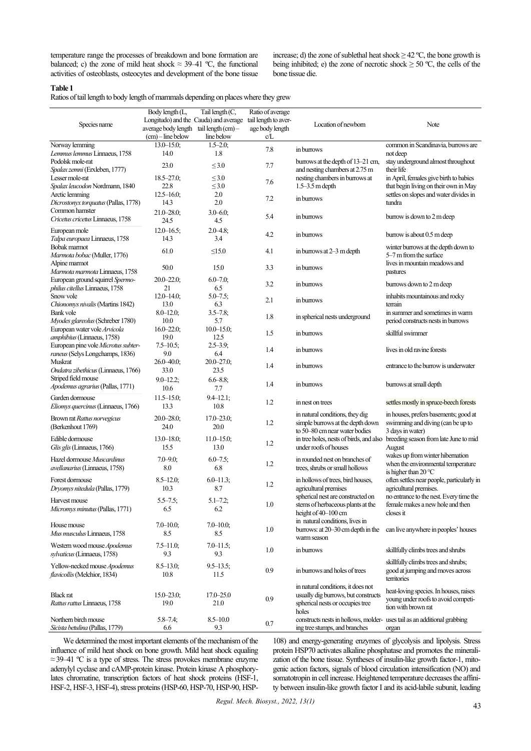temperature range the processes of breakdown and bone formation are balanced; c) the zone of mild heat shock  $\approx$  39–41 °C, the functional activities of osteoblasts, osteocytes and development of the bone tissue increase; d) the zone of sublethal heat shock  $\geq$  42 °C, the bone growth is being inhibited; e) the zone of necrotic shock  $\geq 50$  °C, the cells of the bone tissue die.

# **Table 1**

Ratios of tail length to body length of mammals depending on places where they grew

|                                      | Body length (L,                       | Tail length (C,      | Ratio of average     |                                                                         |                                            |
|--------------------------------------|---------------------------------------|----------------------|----------------------|-------------------------------------------------------------------------|--------------------------------------------|
|                                      | Longitudo) and the Cauda) and average |                      | tail length to aver- | Location of newborn                                                     |                                            |
| Species name                         | average body length tail length (cm)- |                      | age body length      |                                                                         | Note                                       |
|                                      | $(cm)$ – line below                   | line below           | c/L                  |                                                                         |                                            |
| Norway lemming                       | $13.0 - 15.0$ ;                       | $1.5 - 2.0$ ;        |                      |                                                                         | common in Scandinavia, burrows are         |
| Lemmus lemmus Linnaeus, 1758         | 14.0                                  | 1.8                  | 7.8                  | in burrows                                                              | not deep                                   |
| Podolsk mole-rat                     |                                       |                      |                      | burrows at the depth of 13–21 cm,                                       | stay underground almost throughout         |
| Spalax zemni (Erxleben, 1777)        | 23.0                                  | $\leq 3.0$           | 7.7                  | and nesting chambers at 2.75 m                                          | their life                                 |
| Lesser mole-rat                      | $18.5 - 27.0$ ;                       | $\leq 3.0$           |                      | nesting chambers in burrows at                                          | in April, females give birth to babies     |
| Spalax leucodon Nordmann, 1840       | 22.8                                  | $\leq 3.0$           | 7.6                  | $1.5 - 3.5$ m depth                                                     | that begin living on their own in May      |
| Arctic lemming                       | $12.5 - 16.0$ ;                       | 2.0                  |                      |                                                                         | settles on slopes and water divides in     |
| Dicrostonyx torquatus (Pallas, 1778) | 14.3                                  | 2.0                  | 7.2                  | in burrows                                                              | tundra                                     |
| Common hamster                       | $21.0 - 28.0$ ;                       | $3.0 - 6.0$ ;        |                      |                                                                         |                                            |
| Cricetus cricetus Linnaeus, 1758     | 24.5                                  | 4.5                  | 5.4                  | in burrows                                                              | burrow is down to 2 m deep                 |
|                                      |                                       |                      |                      |                                                                         |                                            |
| European mole                        | $12.0 - 16.5$ ;                       | $2.0 - 4.8$ ;        | 4.2                  | in burrows                                                              | burrow is about 0.5 m deep                 |
| Talpa europaea Linnaeus, 1758        | 14.3                                  | 3.4                  |                      |                                                                         |                                            |
| Bobak marmot                         | 61.0                                  | $\leq15.0$           | 4.1                  | in burrows at 2–3 m depth                                               | winter burrows at the depth down to        |
| Marmota bobac (Muller, 1776)         |                                       |                      |                      |                                                                         | 5–7 m from the surface                     |
| Alpine marmot                        | 50.0                                  | 15.0                 | 3.3                  | in burrows                                                              | lives in mountain meadows and              |
| Marmota marmota Linnaeus, 1758       |                                       |                      |                      |                                                                         | pastures                                   |
| European ground squirrel Spermo-     | $20.0 - 22.0$ ;                       | $6.0 - 7.0$ ;        | 3.2                  | in burrows                                                              | burrows down to 2 m deep                   |
| philus citellus Linnaeus, 1758       | 21                                    | 6.5                  |                      |                                                                         |                                            |
| Snow vole                            | $12.0 - 14.0$ :                       | $5.0 - 7.5$ ;        | 2.1                  | in burrows                                                              | inhabits mountainous and rocky             |
| Chionomys nivalis (Martins 1842)     | 13.0                                  | 6.3                  |                      |                                                                         | terrain                                    |
| Bank vole                            | $8.0 - 12.0$ ;                        | $3.5 - 7.8$ ;        |                      |                                                                         | in summer and sometimes in warm            |
| Myodes glareolus (Schreber 1780)     | 10.0                                  | 5.7                  | 1.8                  | in spherical nests underground                                          | period constructs nests in burrows         |
| European water vole Arvicola         | $16.0 - 22.0$ ;                       | $10.0 - 15.0$ ;      |                      |                                                                         |                                            |
| amphibius (Linnaeus, 1758)           | 19.0                                  | 12.5                 | 1.5                  | in burrows                                                              | skillful swimmer                           |
| European pine vole Microtus subter-  | $7.5 - 10.5$ ;                        | $2.5 - 3.9$ ;        |                      |                                                                         |                                            |
| raneus (Selys Longchamps, 1836)      | 9.0                                   | 6.4                  | 1.4                  | in burrows                                                              | lives in old ravine forests                |
| Muskrat                              | $26.0 - 40.0$                         | $20.0 - 27.0$ ;      |                      |                                                                         |                                            |
| Ondatra zibethicus (Linnaeus, 1766)  | 33.0                                  | 23.5                 | 1.4                  | in burrows                                                              | entrance to the burrow is underwater       |
| Striped field mouse                  |                                       |                      |                      |                                                                         |                                            |
| Apodemus agrarius (Pallas, 1771)     | $9.0 - 12.2$ ;<br>10.6                | $6.6 - 8.8$ ;<br>7.7 | 1.4                  | in burrows                                                              | burrows at small depth                     |
|                                      |                                       |                      |                      |                                                                         |                                            |
| Garden dormouse                      | $11.5 - 15.0$ ;                       | $9.4 - 12.1$ ;       | 1.2                  | in nest on trees                                                        | settles mostly in spruce-beech forests     |
| Eliomys quercinus (Linnaeus, 1766)   | 13.3                                  | 10.8                 |                      |                                                                         |                                            |
| Brown rat Rattus norvegicus          | $20.0 - 28.0$ ;                       | $17.0 - 23.0$ ;      |                      | in natural conditions, they dig                                         | in houses, prefers basements; good at      |
| (Berkenhout 1769)                    | 24.0                                  | 20.0                 | 1.2                  | simple burrows at the depth down                                        | swimming and diving (can be up to          |
|                                      |                                       |                      |                      | to 50-80 cm near water bodies                                           | 3 days in water)                           |
| Edible dormouse                      | $13.0 - 18.0$ ;                       | $11.0 - 15.0$ ;      | 1.2                  | in tree holes, nests of birds, and also                                 | breeding season from late June to mid      |
| Glis glis (Linnaeus, 1766)           | 15.5                                  | 13.0                 |                      | under roofs of houses                                                   | August                                     |
| Hazel dormouse Muscardinus           | $7.0 - 9.0$ ;                         | $6.0 - 7.5$ ;        |                      | in rounded nest on branches of                                          | wakes up from winter hibernation           |
| avellanarius (Linnaeus, 1758)        | 8.0                                   | 6.8                  | 1.2                  | trees, shrubs or small hollows                                          | when the environmental temperature         |
|                                      |                                       |                      |                      |                                                                         | is higher than $20^{\circ}$ C              |
| Forest dormouse                      | $8.5 - 12.0$ ;                        | $6.0 - 11.3$ ;       | 1.2                  | in hollows of trees, bird houses,                                       | often settles near people, particularly in |
| Dryomys nitedula (Pallas, 1779)      | 10.3                                  | 8.7                  |                      | agricultural premises                                                   | agricultural premises.                     |
| Harvest mouse                        | $5.5 - 7.5$ ;                         | $5.1 - 7.2$ ;        |                      | spherical nest are constructed on                                       | no entrance to the nest. Every time the    |
| Micromys minutus (Pallas, 1771)      |                                       |                      | 1.0                  | stems of herbaceous plants at the                                       | female makes a new hole and then           |
|                                      | 6.5                                   | 6.2                  |                      | height of 40-100 cm                                                     | closes it                                  |
| House mouse                          |                                       |                      |                      | in natural conditions, lives in                                         |                                            |
|                                      | $7.0 - 10.0$ ;                        | $7.0 - 10.0$ ;       | 1.0                  | burrows: at 20–30 cm depth in the                                       | can live anywhere in peoples' houses       |
| Mus musculus Linnaeus, 1758          | 8.5                                   | 8.5                  |                      | warm season                                                             |                                            |
| Western wood mouse Apodemus          | $7.5 - 11.0$ ;                        | $7.0 - 11.5$ ;       |                      |                                                                         |                                            |
| sylvaticus (Linnaeus, 1758)          | 9.3                                   | 9.3                  | 1.0                  | in burrows                                                              | skillfully climbs trees and shrubs         |
|                                      |                                       |                      |                      |                                                                         | skillfully climbs trees and shrubs;        |
| Yellow-necked mouse Apodemus         | $8.5 - 13.0$ ;                        | $9.5 - 13.5$ ;       | 0.9                  | in burrows and holes of trees                                           | good at jumping and moves across           |
| flavicollis (Melchior, 1834)         | 10.8                                  | 11.5                 |                      |                                                                         | territories                                |
|                                      |                                       |                      |                      | in natural conditions, it does not                                      |                                            |
| <b>Black</b> rat                     | $15.0 - 23.0$ ;                       | $17.0 - 25.0$        |                      | usually dig burrows, but constructs                                     | heat-loving species. In houses, raises     |
| Rattus rattus Linnaeus, 1758         | 19.0                                  | 21.0                 | 0.9                  | spherical nests or occupies tree                                        | young under roofs to avoid competi-        |
|                                      |                                       |                      |                      | holes                                                                   | tion with brown rat                        |
| Northern birch mouse                 | $5.8 - 7.4$ ;                         | $8.5 - 10.0$         |                      | constructs nests in hollows, molder-uses tail as an additional grabbing |                                            |
| Sicista betulina (Pallas, 1779)      | 6.6                                   | 9.3                  | 0.7                  | ing tree stumps, and branches                                           | organ                                      |

We determined the most important elements of the mechanism of the influence of mild heat shock on bone growth. Mild heat shock equaling  $\approx$  39–41 °C is a type of stress. The stress provokes membrane enzyme adenylyl cyclase and cAMP-protein kinase. Protein kinase A phosphorylates chromatine, transcription factors of heat shock proteins (HSF-1, HSF-2, HSF-3, HSF-4), stress proteins (HSP-60, HSP-70, HSP-90, HSP-

108) and energy-generating enzymes of glycolysis and lipolysis. Stress protein HSP70 activates alkaline phosphatase and promotes the mineralization of the bone tissue. Syntheses of insulin-like growth factor-1, mitogenic action factors, signals of blood circulation intensification (NO) and somatotropin in cell increase. Heightened temperature decreases the affinity between insulin-like growth factor I and its acid-labile subunit, leading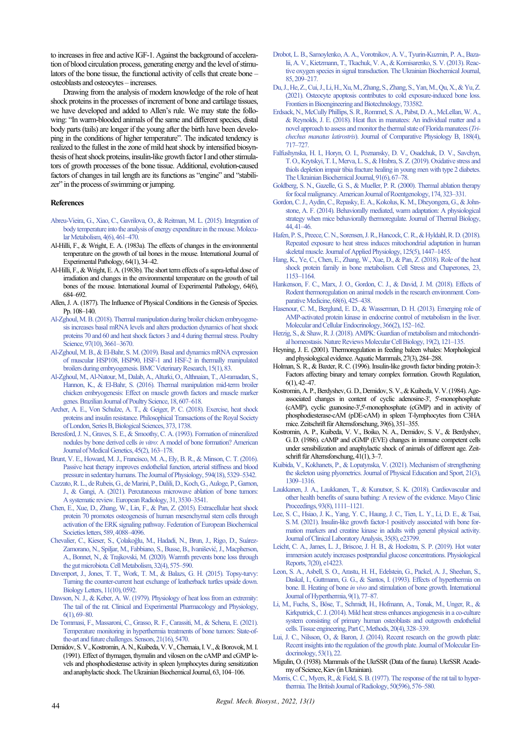to increases in free and active IGF-1. Against the background of acceleration of blood circulation process, generating energy and the level of stimulators of the bone tissue, the functional activity of cells that create bone – osteoblasts and osteocytes – increases.

Drawing from the analysis of modern knowledge of the role of heat shock proteins in the processes of increment of bone and cartilage tissues, we have developed and added to Allen's rule. We may state the following: "In warm-blooded animals of the same and different species, distal body parts (tails) are longer if the young after the birth have been developing in the conditions of higher temperature". The indicated tendency is realized to the fullest in the zone of mild heat shock by intensified biosynthesis of heat shock proteins, insulin-like growth factor I and other stimulators of growth processes of the bone tissue. Additional, evolution-caused factors of changes in tail length are its functions as "engine" and "stabilizer" in the process of swimming or jumping.

# **References**

- [Abreu-Vieira, G., Xiao, C., Gavrilova, O., & Reitman, M. L. \(2015\). Integration of](http://doi.org/10.1016/j.molmet.2015.03.001)  [body temperature into the analysis of energy expenditure in the mouse. Molecu](http://doi.org/10.1016/j.molmet.2015.03.001)lar Metabolism, 4(6), 461-470.
- Al-Hilli, F., & Wright, E. A. (1983a). The effects of changes in the environmental temperature on the growth of tail bones in the mouse. International Journal of Experimental Pathology, 64(1), 34–42.
- Al-Hilli, F., & Wright, E. A. (1983b). The short term effects of a supra-lethal dose of irradiation and changes in the environmental temperature on the growth of tail bones of the mouse. International Journal of Experimental Pathology, 64(6), 684‒692.
- Allen, J. A. (1877). The Influence of Physical Conditions in the Genesis of Species. P<sub>p. 108</sub>-140<sup>.</sup>
- [Al-Zghoul, M. B. \(2018\). Thermal manipulation during broiler chicken embryogene](http://doi.org/10.3382/ps/pey225)[sis increases basal mRNA levels and alters production dynamics of heat shock](http://doi.org/10.3382/ps/pey225)  [proteins 70 and 60 and heat shock factors 3 and 4 during thermal stress. Poultry](http://doi.org/10.3382/ps/pey225)  Science, 97(10), 3661-3670.
- [Al-Zghoul, M. B., & El-Bahr, S. M. \(2019\). Basal and dynamics mRNA expression](http://doi.org/10.1186/s12917-019-1827-7)  [of muscular HSP108, HSP90, HSF-1 and HSF-2 in thermally manipulated](http://doi.org/10.1186/s12917-019-1827-7)  [broilers during embryogenesis. BMC Veterinary Research, 15\(1\), 83.](http://doi.org/10.1186/s12917-019-1827-7)
- [Al-Zghoul, M., Al-Natour, M., Dalab, A., Alturki,](http://doi.org/10.1590/1806-9061-2016-0260ERRATA) O., Althnaian, T., Al-ramadan, S., [Hannon, K., & El-Bahr, S. \(2016\). Thermal manipulation mid-term broiler](http://doi.org/10.1590/1806-9061-2016-0260ERRATA)  [chicken embryogenesis: Effect on muscle growth factors and muscle marker](http://doi.org/10.1590/1806-9061-2016-0260ERRATA)  [genes. Brazilian Journal of Poultry Science, 18, 607–618.](http://doi.org/10.1590/1806-9061-2016-0260ERRATA)
- [Archer, A. E., Von Schulze, A. T., & Geiger, P. C. \(2018\). Exercise, heat shock](http://doi.org/10.1098/rstb.2016.0529)  [proteins and insulin resistance. Philosophical Transactions of the Royal Society](http://doi.org/10.1098/rstb.2016.0529)  [of London, Series B, Biological Sciences, 373, 1738.](http://doi.org/10.1098/rstb.2016.0529)
- [Beresford, J. N., Graves, S. E., & Smoothy, C. A. \(1993\). Formation of mineralized](http://doi.org/10.1002/ajmg.1320450205)  nodules by bone derived cells *in vitro*[: A model of bone formation? American](http://doi.org/10.1002/ajmg.1320450205)  Journal of Medical Genetics, 45(2), 163-178.
- [Brunt, V. E., Howard, M. J., Francisco, M. A., Ely, B. R., & Minson, C. T. \(2016\).](http://doi.org/10.1113/JP272453)  [Passive heat therapy improves endothelial function, arterial stiffness and blood](http://doi.org/10.1113/JP272453)  pressure in sedentary humans. The Journal of Physiology, 594(18), 5329–5342.
- [Cazzato, R. L., de Rubeis, G., de Marini, P., Dalili, D., Koch, G., Auloge, P., Garnon,](http://doi.org/10.1007/s00330-020-07382-8)  [J., & Gangi, A. \(2021\). Percutaneous microwave ablation of bone tumors:](http://doi.org/10.1007/s00330-020-07382-8)  [Asystematic review. European Radiology, 31, 3530–3541.](http://doi.org/10.1007/s00330-020-07382-8)
- [Chen, E., Xue, D., Zhang, W., Lin, F., & Pan, Z. \(2015\). Extracellular heat shock](http://doi.org/10.1016/j.febslet.2015.11.021)  [protein 70 promotes osteogenesis of human mesenchymal stem cells through](http://doi.org/10.1016/j.febslet.2015.11.021)  [activation of the ERK signaling pathway. Federation of European Biochemical](http://doi.org/10.1016/j.febslet.2015.11.021)  [Societies letters, 589, 4088–4096.](http://doi.org/10.1016/j.febslet.2015.11.021)
- [Chevalier, C., Kieser, S., Çolakoğlu, M., Hadadi, N., Brun, J., Rigo, D., Suárez](http://doi.org/10.1016/j.cmet.2020.08.012)-[Zamorano, N., Spiljar, M., Fabbiano, S., Busse, B., Ivanišević, J., Macpherson,](http://doi.org/10.1016/j.cmet.2020.08.012)  [A., Bonnet, N., & Trajkovski, M. \(2020\). Warmth prevents bone loss through](http://doi.org/10.1016/j.cmet.2020.08.012)  the gut microbiota. Cell Metabolism, 32(4), 575-590.
- [Davenport, J., Jones, T. T., Work, T. M., & Balazs, G. H. \(2015\). Topsy-turvy:](http://doi.org/10.1098/rsbl.2015.0592)  [Turning the counter-current heat exchange of leatherback turtles upside down.](http://doi.org/10.1098/rsbl.2015.0592)  [Biology Letters, 11\(10\), 0592.](http://doi.org/10.1098/rsbl.2015.0592)
- Dawson, N. J., & Keber, A. W. (1979). Physiology of heat loss from an extremity: [The tail of the rat. Clinical and Experimental Pharmacology and Physiology,](http://doi.org/10.1111/j.1440-1681.1979.tb00009.x)  [6\(1\), 69‒80.](http://doi.org/10.1111/j.1440-1681.1979.tb00009.x)
- [De Tommasi, F., Massaroni, C., Grasso, R. F., Carassiti, M., & Schena, E. \(2021\).](http://doi.org/10.3390/s21165470)  [Temperature monitoring in hyperthermia treatments of bone tumors: State-of](http://doi.org/10.3390/s21165470)[the-art and future challenges. Sensors, 21\(16\), 5470.](http://doi.org/10.3390/s21165470)
- Demidov, S. V., Kostromin, A. N., Kuibeda, V. V., Chernaia, I. V., & Borovok, M. I. (1991). Effect of thymagen, thymalin and vilosen on the cAMP and cGMP levels and phosphodiesterase activity in spleen lymphocytes during sensitization and anaphylactic shock. The Ukrainian Biochemical Journal, 63, 104–106.
- [Drobot, L. B., Samoylenko, A. A., Vorotnikov, A. V., Tyurin-Kuzmin, P. A., Baza](http://doi.org/10.15407/ubj85.06.209)[lii, A. V., Kietzmann, T., Tkachuk, V. A., & Komisarenko, S. V. \(2013\). Reac](http://doi.org/10.15407/ubj85.06.209)[tive oxygen species in signal transduction. The Ukrainian Biochemical Journal,](http://doi.org/10.15407/ubj85.06.209)  [85, 209‒217.](http://doi.org/10.15407/ubj85.06.209)
- [Du, J., He, Z., Cui, J., Li, H., Xu, M., Zhang, S., Zhang, S., Yan, M., Qu, X., & Yu, Z.](http://doi.org/10.3389/fbioe.2021.733582)  [\(2021\). Osteocyte apoptosis contributes to cold exposure-induced bone loss.](http://doi.org/10.3389/fbioe.2021.733582)  [Frontiers in Bioengineering and Biotechnology, 733582.](http://doi.org/10.3389/fbioe.2021.733582)
- [Erdsack, N., McCully Phillips, S. R., Rommel, S. A., Pabst, D. A., McLellan, W. A.,](http://doi.org/10.1007/s00360-018-1152-7)  [& Reynolds, J. E. \(2018\). Heat flux in manatees: An individual matter and a](http://doi.org/10.1007/s00360-018-1152-7)  [novel approach to assess and monitor the thermal state of Florida manatees \(](http://doi.org/10.1007/s00360-018-1152-7)*Trichechus manatus latirostris*[\). Journal of Comparative Physiology B, 188\(4\),](http://doi.org/10.1007/s00360-018-1152-7)  [717–727.](http://doi.org/10.1007/s00360-018-1152-7)
- [Falfushynska, H. I., Horyn, O. I., Poznansky, D. V., Osadchuk, D. V., Savchyn,](http://doi.org/10.15407/ubj91.06.067)  T.[О., Krytskyi, T. І., Merva, L. S., & Hrabra, S. Z. \(2019\). Oxidative stress and](http://doi.org/10.15407/ubj91.06.067)  [thiols depletion impair tibia fracture healing in young men with type 2 diabetes.](http://doi.org/10.15407/ubj91.06.067)  The Ukrainian Biochemical Journal, 91(6), 67-78.
- [Goldberg, S. N., Gazelle, G. S., & Mueller, P. R. \(2000\). Thermal ablation therapy](http://doi.org/10.2214/ajr.174.2.1740323)  [for focal malignancy. American Journal of Roentgenology, 174, 323–331.](http://doi.org/10.2214/ajr.174.2.1740323)
- [Gordon, C. J., Aydin, C., Repasky, E. A., Kokolus, K. M., Dheyongera, G., & John](http://doi.org/10.1016/j.jtherbio.2014.06.006)[stone, A. F. \(2014\). Behaviorally mediated, warm adaptation: A physiological](http://doi.org/10.1016/j.jtherbio.2014.06.006)  [strategy when mice behaviorally thermoregulate. Journal of Thermal Biology,](http://doi.org/10.1016/j.jtherbio.2014.06.006)  [44, 41‒46.](http://doi.org/10.1016/j.jtherbio.2014.06.006)
- [Hafen, P. S., Preece, C. N., Sorensen, J. R., Hancock, C. R., & Hyldahl, R. D. \(2018\).](http://doi.org/10.1152/japplphysiol.00383.2018)  [Repeated exposure to heat stress induces mitochondrial adaptation in human](http://doi.org/10.1152/japplphysiol.00383.2018)  skeletal muscle. Journal of Applied Physiology, 125(5), 1447-1455.
- [Hang, K., Ye, C., Chen, E., Zhang, W., Xue, D., & Pan, Z. \(2018\). Role of the heat](http://doi.org/10.1007/s12192-018-0932-z)  [shock protein family in bone metabolism. Cell Stress and Chaperones, 23,](http://doi.org/10.1007/s12192-018-0932-z)  [1153–1164.](http://doi.org/10.1007/s12192-018-0932-z)
- [Hankenson, F. C., Marx, J. O., Gordon, C. J., & David, J. M. \(2018\). Effects of](http://doi.org/10.30802/AALAS-CM-18-000049)  [Rodent thermoregulation on animal models in the research environment. Com](http://doi.org/10.30802/AALAS-CM-18-000049)parative Medicine, 68(6), 425-438.
- [Hasenour, C. M., Berglund, E. D., & Wasserman, D. H. \(2013\). Emerging role of](http://doi.org/10.1016/j.mce.2012.06.018)  [AMP-activated protein kinase in endocrine control of metabolism in the liver.](http://doi.org/10.1016/j.mce.2012.06.018)  Molecular and Cellular Endocrinology, 366(2), 152-162.
- [Herzig, S., & Shaw, R. J. \(2018\). AMPK: Guardian of metabolism and mitochondri](http://doi.org/10.1038/nrm.2017.95)al homeostasis. Nature Reviews Molecular Cell Biology, 19(2), 121-135.
- Heyning, J. E. (2001). Thermoregulation in feeding baleen whales: Morphological and physiological evidence. Aquatic Mammals, 27(3), 284–288.
- Holman, S. R., & Baxter, R. C. (1996). Insulin-like growth factor binding protein-3: Factors affecting binary and ternary complex formation. Growth Regulation, 6(1), 42‒47.
- Kostromin, A. P., Berdyshev, G. D., Demidov, S. V., & Kuibeda, V. V. (1984). Ageassociated changes in content of cyclic adenosine-3', 5'-monophosphate (cAMP), cyclic guanosine-3',5'-monophosphate (cGMP) and in activity of phosphodiesterase-cAM (pDE-cAM) in spleen T-lymphocytes from C3HA mice. Zeitschrift für Alternsforschung, 39(6), 351–355.
- Kostromin, A. P., Kuibeda, V. V., Boiko, N. A., Demidov, S. V., & Berdyshev, G.D. (1986). cAMP and cGMP (EVE) changes in immune competent cells under sensibilization and anaphylactic shock of animals of different age. Zeitschrift für Alternsforschung, 41(1), 3‒7.
- [Kuibida, V., Kokhanets, P., & Lopatynska, V. \(2021\). Mechanism of strengthening](http://doi.org/10.7752/jpes.2021.03166)  [the skeleton using plyometrics. Journal of Physical Education and Sport, 21\(3\),](http://doi.org/10.7752/jpes.2021.03166)  [1309‒1316.](http://doi.org/10.7752/jpes.2021.03166)
- [Laukkanen, J. A., Laukkanen, T., & Kunutsor, S. K. \(2018\). Cardiovascular and](http://doi.org/10.1016/j.mayocp.2018.04.008)  [other health benefits of sauna bathing: A review of the evidence. Mayo Clinic](http://doi.org/10.1016/j.mayocp.2018.04.008)  Proceedings, 93(8), 1111-1121.
- [Lee, S. C., Hsiao, J. K., Yang, Y. C., Haung, J. C., Tien, L. Y., Li, D. E., & Tsai,](http://doi.org/10.1002/jcla.23799)  [S.M. \(2021\). Insulin-like growth factor-1 positively associated with bone for](http://doi.org/10.1002/jcla.23799)[mation markers and creatine kinase in adults with general physical activity.](http://doi.org/10.1002/jcla.23799)  [Journal of Clinical Laboratory Analysis, 35\(8\), e23799.](http://doi.org/10.1002/jcla.23799)
- [Leicht, C. A., James, L. J., Briscoe, J. H. B., & Hoekstra, S. P. \(2019\). Hot water](http://doi.org/10.14814/phy2.14223)  [immersion acutely increases postprandial glucose concentrations. Physiological](http://doi.org/10.14814/phy2.14223)  [Reports, 7\(20\), e14223.](http://doi.org/10.14814/phy2.14223)
- [Leon, S. A., Asbell, S. O., Arastu, H. H., Edelstein, G., Packel, A. J., Sheehan, S.,](http://doi.org/10.3109/02656739309061480)  [Daskal, I., Guttmann, G. G., & Santos, I. \(1993\). Effects of hyperthermia on](http://doi.org/10.3109/02656739309061480)  bone. II. Heating of bone *in vivo* [and stimulation of bone growth. International](http://doi.org/10.3109/02656739309061480)  [Journal of Hyperthermia, 9\(1\), 77–87.](http://doi.org/10.3109/02656739309061480)
- [Li, M., Fuchs, S., Böse, T., Schmidt, H., Hofmann, A., Tonak, M., Unger, R., &](http://doi.org/10.1089/ten.TEC.2013.0087)  [Kirkpatrick, C. J. \(2014\). Mild heat stress enhances angiogenesis in a co-culture](http://doi.org/10.1089/ten.TEC.2013.0087)  [system consisting of primary human osteoblasts and outgrowth endothelial](http://doi.org/10.1089/ten.TEC.2013.0087)  [cells. Tissue engineering, Part C, Methods, 20\(4\), 328‒339.](http://doi.org/10.1089/ten.TEC.2013.0087)
- [Lui, J. C., Nilsson, O., & Baron, J. \(2014\). Recent research on the growth plate:](http://doi.org/10.1530/JME-14-0022)  [Recent insights into the regulation of the growth plate. Journal of Molecular En](http://doi.org/10.1530/JME-14-0022)[docrinology, 53\(1\), 22.](http://doi.org/10.1530/JME-14-0022)
- Migulin, O. (1938). Mammals of the UkrSSR (Data of the fauna). UkrSSR Academy of Science, Kiev (in Ukrainian).
- [Morris, C. C., Myers, R., & Field, S. B. \(1977\). The response of the rat tail to hyper](http://doi.org/10.1259/0007-1285-50-596-576)thermia. The British Journal of Radiology, 50(596), 576–580.

*Regul. Mech. Biosyst., 2022, 13(1)*